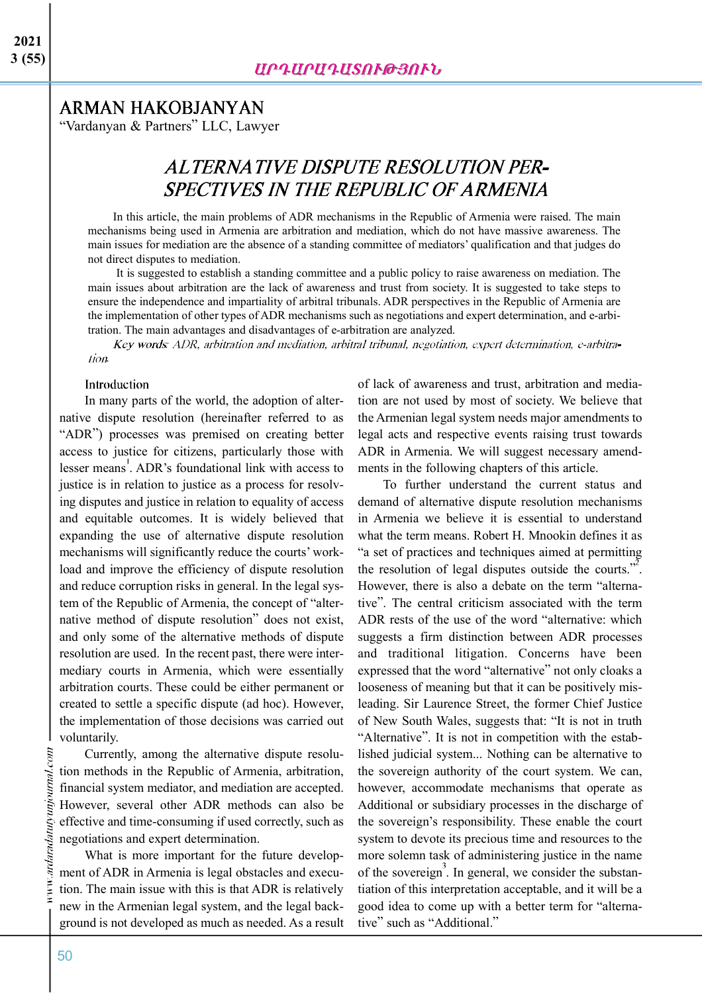## **ARMAN HAKOBJANYAN**

"Vardanyan & Partners" LLC, Lawyer

# ALTERNATIVE DISPUTE RESOLUTION PER-**SPECTIVES IN THE REPUBLIC OF ARMENIA**

In this article, the main problems of ADR mechanisms in the Republic of Armenia were raised. The main mechanisms being used in Armenia are arbitration and mediation, which do not have massive awareness. The main issues for mediation are the absence of a standing committee of mediators' qualification and that judges do not direct disputes to mediation.

It is suggested to establish a standing committee and a public policy to raise awareness on mediation. The main issues about arbitration are the lack of awareness and trust from society. It is suggested to take steps to ensure the independence and impartiality of arbitral tribunals. ADR perspectives in the Republic of Armenia are the implementation of other types of ADR mechanisms such as negotiations and expert determination, and e-arbitration. The main advantages and disadvantages of e-arbitration are analyzed.

Key words: ADR, arbitration and mediation, arbitral tribunal, negotiation, expert determination, e-arbitration.

#### **Introduction**

In many parts of the world, the adoption of alternative dispute resolution (hereinafter referred to as "ADR") processes was premised on creating better access to justice for citizens, particularly those with lesser means . ADR's foundational link with access to justice is in relation to justice as a process for resolving disputes and justice in relation to equality of access and equitable outcomes. It is widely believed that expanding the use of alternative dispute resolution mechanisms will significantly reduce the courts' workload and improve the efficiency of dispute resolution and reduce corruption risks in general. In the legal system of the Republic of Armenia, the concept of "alternative method of dispute resolution" does not exist, and only some of the alternative methods of dispute resolution are used. In the recent past, there were intermediary courts in Armenia, which were essentially arbitration courts. These could be either permanent or created to settle a specific dispute (ad hoc). However, the implementation of those decisions was carried out voluntarily.

Currently, among the alternative dispute resolution methods in the Republic of Armenia, arbitration, financial system mediator, and mediation are accepted. However, several other ADR methods can also be effective and time-consuming if used correctly, such as negotiations and expert determination.

What is more important for the future development of ADR in Armenia is legal obstacles and execution. The main issue with this is that ADR is relatively new in the Armenian legal system, and the legal background is not developed as much as needed. As a result

of lack of awareness and trust, arbitration and mediation are not used by most of society. We believe that the Armenian legal system needs major amendments to legal acts and respective events raising trust towards ADR in Armenia. We will suggest necessary amendments in the following chapters of this article.

To further understand the current status and demand of alternative dispute resolution mechanisms in Armenia we believe it is essential to understand what the term means. Robert H. Mnookin defines it as "a set of practices and techniques aimed at permitting the resolution of legal disputes outside the courts."<sup>2</sup>. However, there is also a debate on the term "alternative". The central criticism associated with the term ADR rests of the use of the word "alternative: which suggests a firm distinction between ADR processes and traditional litigation. Concerns have been expressed that the word "alternative" not only cloaks a looseness of meaning but that it can be positively misleading. Sir Laurence Street, the former Chief Justice of New South Wales, suggests that: "It is not in truth "Alternative". It is not in competition with the established judicial system... Nothing can be alternative to the sovereign authority of the court system. We can, however, accommodate mechanisms that operate as Additional or subsidiary processes in the discharge of the sovereign's responsibility. These enable the court system to devote its precious time and resources to the more solemn task of administering justice in the name of the sovereign<sup>3</sup>. In general, we consider the substantiation of this interpretation acceptable, and it will be a good idea to come up with a better term for "alternative" such as "Additional."

vww.ardaradatutyunjournal.com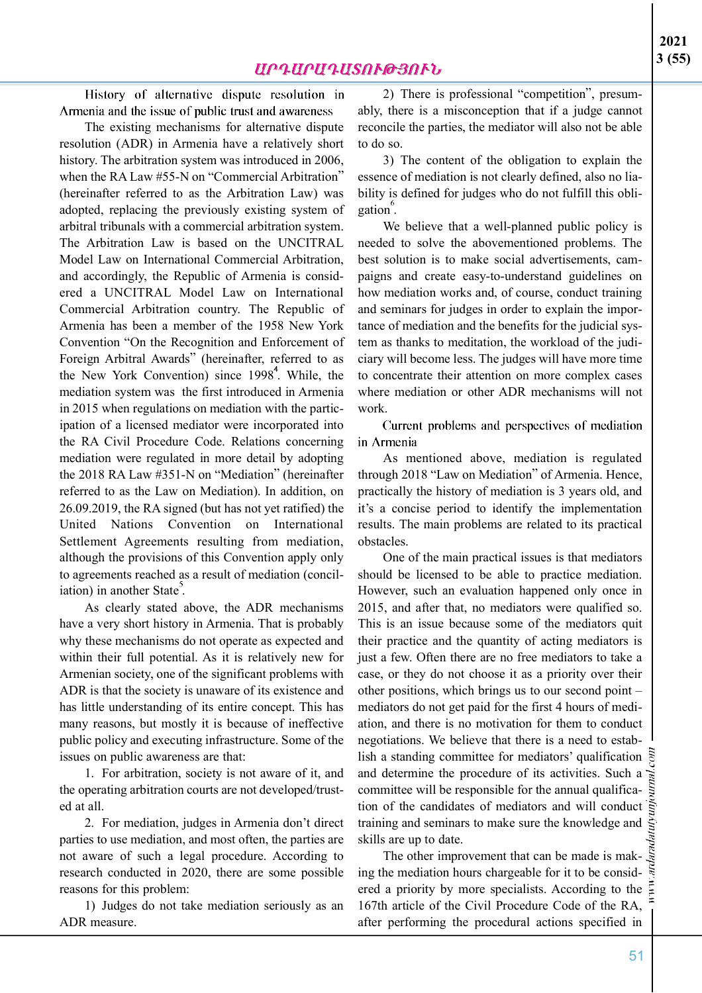History of alternative dispute resolution in Armenia and the issue of public trust and awareness

The existing mechanisms for alternative dispute resolution (ADR) in Armenia have a relatively short history. The arbitration system was introduced in 2006, when the RA Law #55-N on "Commercial Arbitration" (hereinafter referred to as the Arbitration Law) was adopted, replacing the previously existing system of arbitral tribunals with a commercial arbitration system. The Arbitration Law is based on the UNCITRAL Model Law on International Commercial Arbitration, and accordingly, the Republic of Armenia is considered a UNCITRAL Model Law on International Commercial Arbitration country. The Republic of Armenia has been a member of the 1958 New York Convention "On the Recognition and Enforcement of Foreign Arbitral Awards" (hereinafter, referred to as the New York Convention) since 1998<sup>4</sup>. While, the mediation system was the first introduced in Armenia in 2015 when regulations on mediation with the participation of a licensed mediator were incorporated into the RA Civil Procedure Code. Relations concerning mediation were regulated in more detail by adopting the 2018 RA Law #351-N on "Mediation" (hereinafter referred to as the Law on Mediation). In addition, on 26.09.2019, the RA signed (but has not yet ratified) the United Nations Convention on International Settlement Agreements resulting from mediation, although the provisions of this Convention apply only to agreements reached as a result of mediation (conciliation) in another State.

As clearly stated above, the ADR mechanisms have a very short history in Armenia. That is probably why these mechanisms do not operate as expected and within their full potential. As it is relatively new for Armenian society, one of the significant problems with ADR is that the society is unaware of its existence and has little understanding of its entire concept. This has many reasons, but mostly it is because of ineffective public policy and executing infrastructure. Some of the issues on public awareness are that:

1. For arbitration, society is not aware of it, and the operating arbitration courts are not developed/trusted at all.

2. For mediation, judges in Armenia don't direct parties to use mediation, and most often, the parties are not aware of such a legal procedure. According to research conducted in 2020, there are some possible reasons for this problem:

1) Judges do not take mediation seriously as an ADR measure.

2) There is professional "competition", presumably, there is a misconception that if a judge cannot reconcile the parties, the mediator will also not be able to do so.

3) The content of the obligation to explain the essence of mediation is not clearly defined, also no liability is defined for judges who do not fulfill this obligation .

We believe that a well-planned public policy is needed to solve the abovementioned problems. The best solution is to make social advertisements, campaigns and create easy-to-understand guidelines on how mediation works and, of course, conduct training and seminars for judges in order to explain the importance of mediation and the benefits for the judicial system as thanks to meditation, the workload of the judiciary will become less. The judges will have more time to concentrate their attention on more complex cases where mediation or other ADR mechanisms will not work.

Current problems and perspectives of mediation in Armenia

As mentioned above, mediation is regulated through 2018 "Law on Mediation" of Armenia. Hence, practically the history of mediation is 3 years old, and it's a concise period to identify the implementation results. The main problems are related to its practical obstacles.

One of the main practical issues is that mediators should be licensed to be able to practice mediation. However, such an evaluation happened only once in 2015, and after that, no mediators were qualified so. This is an issue because some of the mediators quit their practice and the quantity of acting mediators is just a few. Often there are no free mediators to take a case, or they do not choose it as a priority over their other positions, which brings us to our second point – mediators do not get paid for the first 4 hours of mediation, and there is no motivation for them to conduct negotiations. We believe that there is a need to establish a standing committee for mediators' qualification and determine the procedure of its activities. Such a committee will be responsible for the annual qualification of the candidates of mediators and will conduct training and seminars to make sure the knowledge and skills are up to date.

The other improvement that can be made is making the mediation hours chargeable for it to be considered a priority by more specialists. According to the  $\overline{\xi}$ 167th article of the Civil Procedure Code of the RA, after performing the procedural actions specified in

51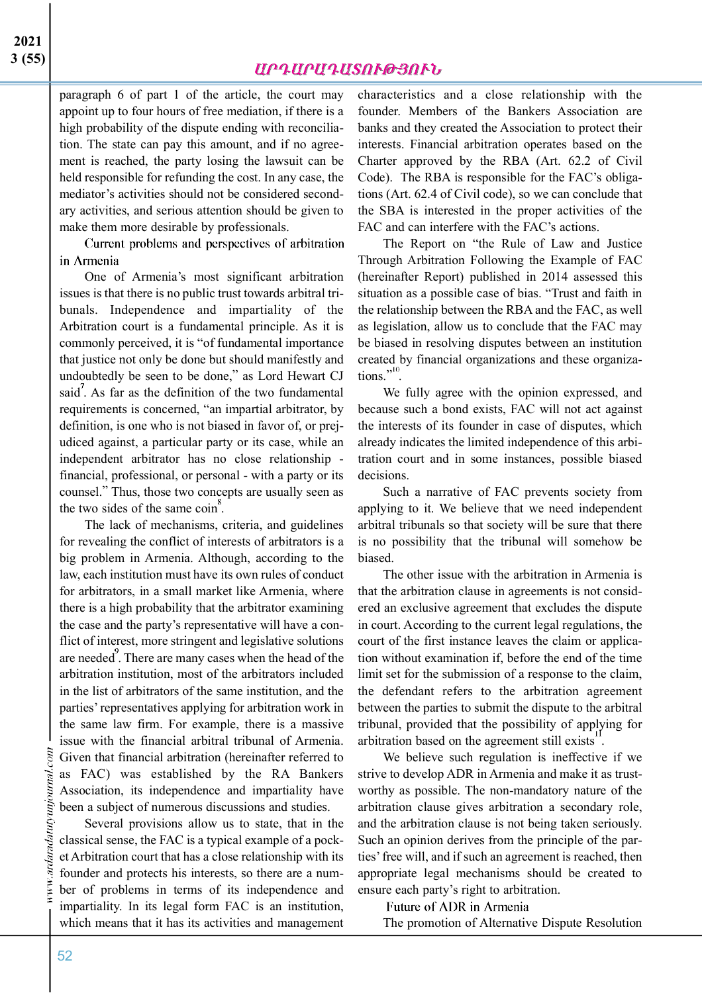paragraph 6 of part 1 of the article, the court may appoint up to four hours of free mediation, if there is a high probability of the dispute ending with reconciliation. The state can pay this amount, and if no agreement is reached, the party losing the lawsuit can be held responsible for refunding the cost. In any case, the mediator's activities should not be considered secondary activities, and serious attention should be given to make them more desirable by professionals.

Current problems and perspectives of arbitration in Armenia

One of Armenia's most significant arbitration issues is that there is no public trust towards arbitral tribunals. Independence and impartiality of the Arbitration court is a fundamental principle. As it is commonly perceived, it is "of fundamental importance that justice not only be done but should manifestly and undoubtedly be seen to be done," as Lord Hewart CJ said. As far as the definition of the two fundamental requirements is concerned, "an impartial arbitrator, by definition, is one who is not biased in favor of, or prejudiced against, a particular party or its case, while an independent arbitrator has no close relationship financial, professional, or personal - with a party or its counsel." Thus, those two concepts are usually seen as the two sides of the same coin<sup>8</sup>.

The lack of mechanisms, criteria, and guidelines for revealing the conflict of interests of arbitrators is a big problem in Armenia. Although, according to the law, each institution must have its own rules of conduct for arbitrators, in a small market like Armenia, where there is a high probability that the arbitrator examining the case and the party's representative will have a conflict of interest, more stringent and legislative solutions are needed. There are many cases when the head of the arbitration institution, most of the arbitrators included in the list of arbitrators of the same institution, and the parties' representatives applying for arbitration work in the same law firm. For example, there is a massive issue with the financial arbitral tribunal of Armenia. Given that financial arbitration (hereinafter referred to as FAC) was established by the RA Bankers Association, its independence and impartiality have been a subject of numerous discussions and studies.

Several provisions allow us to state, that in the classical sense, the FAC is a typical example of a pocket Arbitration court that has a close relationship with its founder and protects his interests, so there are a number of problems in terms of its independence and impartiality. In its legal form FAC is an institution, which means that it has its activities and management

characteristics and a close relationship with the founder. Members of the Bankers Association are banks and they created the Association to protect their interests. Financial arbitration operates based on the Charter approved by the RBA (Art. 62.2 of Civil Code). The RBA is responsible for the FAC's obligations (Art. 62.4 of Civil code), so we can conclude that the SBA is interested in the proper activities of the FAC and can interfere with the FAC's actions.

The Report on "the Rule of Law and Justice Through Arbitration Following the Example of FAC (hereinafter Report) published in 2014 assessed this situation as a possible case of bias. "Trust and faith in the relationship between the RBA and the FAC, as well as legislation, allow us to conclude that the FAC may be biased in resolving disputes between an institution created by financial organizations and these organiza- $\text{tions.}^{\cdot,10}$ .

We fully agree with the opinion expressed, and because such a bond exists, FAC will not act against the interests of its founder in case of disputes, which already indicates the limited independence of this arbitration court and in some instances, possible biased decisions.

Such a narrative of FAC prevents society from applying to it. We believe that we need independent arbitral tribunals so that society will be sure that there is no possibility that the tribunal will somehow be biased.

The other issue with the arbitration in Armenia is that the arbitration clause in agreements is not considered an exclusive agreement that excludes the dispute in court. According to the current legal regulations, the court of the first instance leaves the claim or application without examination if, before the end of the time limit set for the submission of a response to the claim, the defendant refers to the arbitration agreement between the parties to submit the dispute to the arbitral tribunal, provided that the possibility of applying for arbitration based on the agreement still exists".

We believe such regulation is ineffective if we strive to develop ADR in Armenia and make it as trustworthy as possible. The non-mandatory nature of the arbitration clause gives arbitration a secondary role, and the arbitration clause is not being taken seriously. Such an opinion derives from the principle of the parties' free will, and if such an agreement is reached, then appropriate legal mechanisms should be created to ensure each party's right to arbitration.

**Future of ADR in Armenia** The promotion of Alternative Dispute Resolution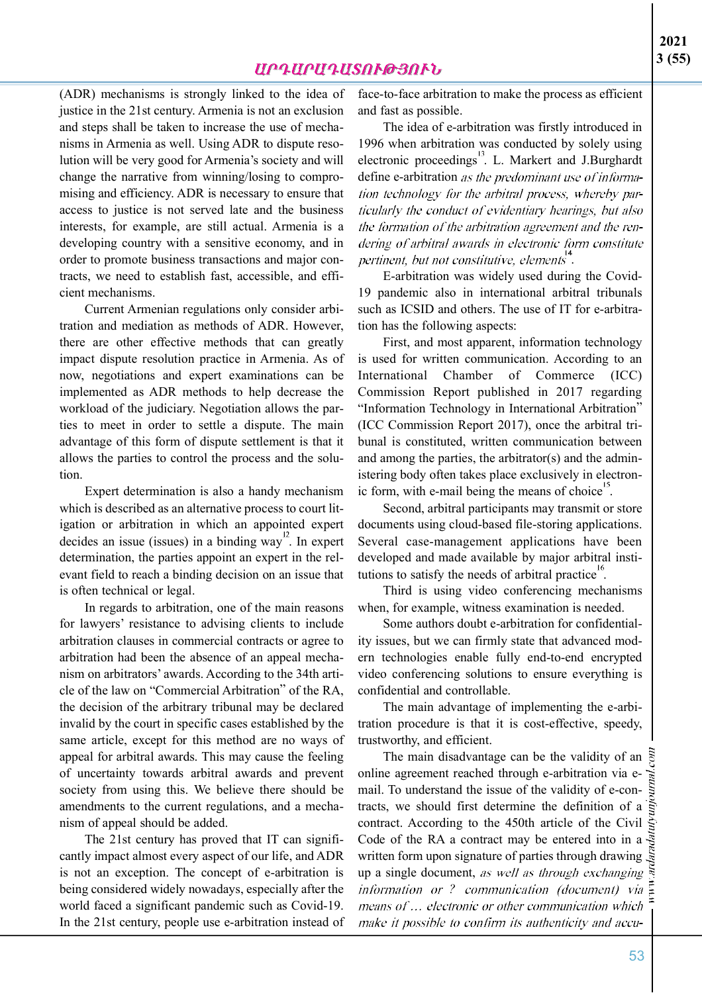(ADR) mechanisms is strongly linked to the idea of justice in the 21st century. Armenia is not an exclusion and steps shall be taken to increase the use of mechanisms in Armenia as well. Using ADR to dispute resolution will be very good for Armenia's society and will change the narrative from winning/losing to compromising and efficiency. ADR is necessary to ensure that access to justice is not served late and the business interests, for example, are still actual. Armenia is a developing country with a sensitive economy, and in order to promote business transactions and major contracts, we need to establish fast, accessible, and efficient mechanisms.

Current Armenian regulations only consider arbitration and mediation as methods of ADR. However, there are other effective methods that can greatly impact dispute resolution practice in Armenia. As of now, negotiations and expert examinations can be implemented as ADR methods to help decrease the workload of the judiciary. Negotiation allows the parties to meet in order to settle a dispute. The main advantage of this form of dispute settlement is that it allows the parties to control the process and the solution.

Expert determination is also a handy mechanism which is described as an alternative process to court litigation or arbitration in which an appointed expert decides an issue (issues) in a binding way. In expert determination, the parties appoint an expert in the relevant field to reach a binding decision on an issue that is often technical or legal.

In regards to arbitration, one of the main reasons for lawyers' resistance to advising clients to include arbitration clauses in commercial contracts or agree to arbitration had been the absence of an appeal mechanism on arbitrators' awards. According to the 34th article of the law on "Commercial Arbitration" of the RA, the decision of the arbitrary tribunal may be declared invalid by the court in specific cases established by the same article, except for this method are no ways of appeal for arbitral awards. This may cause the feeling of uncertainty towards arbitral awards and prevent society from using this. We believe there should be amendments to the current regulations, and a mechanism of appeal should be added.

The 21st century has proved that IT can significantly impact almost every aspect of our life, and ADR is not an exception. The concept of e-arbitration is being considered widely nowadays, especially after the world faced a significant pandemic such as Covid-19. In the 21st century, people use e-arbitration instead of face-to-face arbitration to make the process as efficient and fast as possible.

The idea of e-arbitration was firstly introduced in 1996 when arbitration was conducted by solely using electronic proceedings<sup>13</sup>. L. Markert and J.Burghardt define e-arbitration as the predominant use of information technology for the arbitral process, whereby particularly the conduct of evidentiary hearings, but also the formation of the arbitration agreement and the rendering of arbitral awards in electronic form constitute pertinent, but not constitutive, elements".

E-arbitration was widely used during the Covid-19 pandemic also in international arbitral tribunals such as ICSID and others. The use of IT for e-arbitration has the following aspects:

First, and most apparent, information technology is used for written communication. According to an International Chamber of Commerce (ICC) Commission Report published in 2017 regarding "Information Technology in International Arbitration" (ICC Commission Report 2017), once the arbitral tribunal is constituted, written communication between and among the parties, the arbitrator(s) and the administering body often takes place exclusively in electronic form, with e-mail being the means of choice.

Second, arbitral participants may transmit or store documents using cloud-based file-storing applications. Several case-management applications have been developed and made available by major arbitral institutions to satisfy the needs of arbitral practice.

Third is using video conferencing mechanisms when, for example, witness examination is needed.

Some authors doubt e-arbitration for confidentiality issues, but we can firmly state that advanced modern technologies enable fully end-to-end encrypted video conferencing solutions to ensure everything is confidential and controllable.

The main advantage of implementing the e-arbitration procedure is that it is cost-effective, speedy, trustworthy, and efficient.

The main disadvantage can be the validity of an  $\frac{5}{6}$ online agreement reached through e-arbitration via email. To understand the issue of the validity of e-contracts, we should first determine the definition of a contract. According to the 450th article of the Civil Code of the RA a contract may be entered into in a written form upon signature of parties through drawing up a single document, as well as through exchanging *information or ? communication (document) via* means of ... electronic or other communication which make it possible to confirm its authenticity and accu-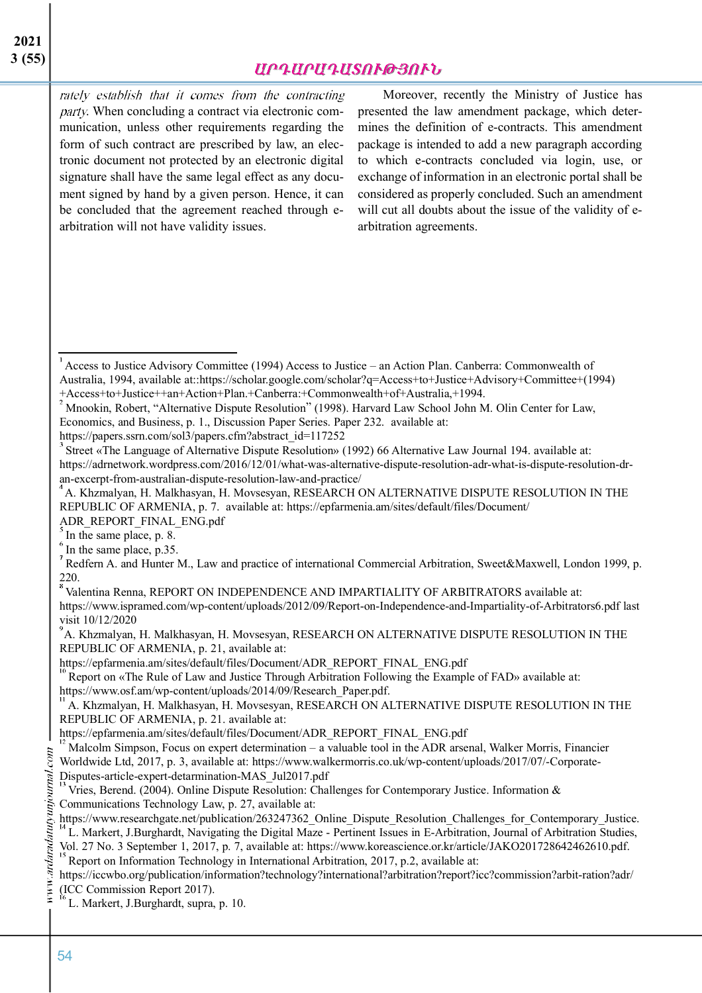## *ԱՐԴԱՐԱԴԱՏՈՒԹՅՈՒՆ*

rately establish that it comes from the contracting party. When concluding a contract via electronic communication, unless other requirements regarding the form of such contract are prescribed by law, an electronic document not protected by an electronic digital signature shall have the same legal effect as any document signed by hand by a given person. Hence, it can be concluded that the agreement reached through earbitration will not have validity issues.

Moreover, recently the Ministry of Justice has presented the law amendment package, which determines the definition of e-contracts. This amendment package is intended to add a new paragraph according to which e-contracts concluded via login, use, or exchange of information in an electronic portal shall be considered as properly concluded. Such an amendment will cut all doubts about the issue of the validity of earbitration agreements.

Economics, and Business, p. 1., Discussion Paper Series. Paper 232. available at:

https://papers.ssrn.com/sol3/papers.cfm?abstract\_id=117252

Street «The Language of Alternative Dispute Resolution» (1992) 66 Alternative Law Journal 194. available at: https://adrnetwork.wordpress.com/2016/12/01/what-was-alternative-dispute-resolution-adr-what-is-dispute-resolution-dran-excerpt-from-australian-dispute-resolution-law-and-practice/

A. Khzmalyan, H. Malkhasyan, H. Movsesyan, RESEARCH ON ALTERNATIVE DISPUTE RESOLUTION IN THE REPUBLIC OF ARMENIA, p. 7. available at: https://epfarmenia.am/sites/default/files/Document/  $ADR$ <sub>S</sub> REPORT\_FINAL\_ENG.pdf

In the same place, p. 8.

A. Khzmalyan, H. Malkhasyan, H. Movsesyan, RESEARCH ON ALTERNATIVE DISPUTE RESOLUTION IN THE REPUBLIC OF ARMENIA, p. 21, available at:

https://epfarmenia.am/sites/default/files/Document/ADR\_REPORT\_FINAL\_ENG.pdf

Report on «The Rule of Law and Justice Through Arbitration Following the Example of FAD» available at: https://www.osf.am/wp-content/uploads/2014/09/Research\_Paper.pdf.

A. Khzmalyan, H. Malkhasyan, H. Movsesyan, RESEARCH ON ALTERNATIVE DISPUTE RESOLUTION IN THE REPUBLIC OF ARMENIA, p. 21. available at:

Vol. 27 No. 3 September 1, 2017, p. 7, available at: https://www.koreascience.or.kr/article/JAKO201728642462610.pdf. Report on Information Technology in International Arbitration, 2017, p.2, available at:

https://iccwbo.org/publication/information?technology?international?arbitration?report?icc?commission?arbit-ration?adr/ (ICC Commission Report 2017).

L. Markert, J.Burghardt, supra, p. 10.

 $\overline{A_{\text{Access}}}$  to Justice Advisory Committee (1994) Access to Justice – an Action Plan. Canberra: Commonwealth of Australia, 1994, available at::https://scholar.google.com/scholar?q=Access+to+Justice+Advisory+Committee+(1994) +Access+to+Justice++an+Action+Plan.+Canberra:+Commonwealth+of+Australia,+1994.

<sup>&</sup>lt;sup>2</sup> Mnookin, Robert, "Alternative Dispute Resolution" (1998). Harvard Law School John M. Olin Center for Law,

 $\frac{6}{1}$  In the same place, p.35.

Redfern A. and Hunter M., Law and practice of international Commercial Arbitration, Sweet&Maxwell, London 1999, p.  $^{220}_{8}$ 

Valentina Renna, REPORT ON INDEPENDENCE AND IMPARTIALITY OF ARBITRATORS available at: https://www.ispramed.com/wp-content/uploads/2012/09/Report-on-Independence-and-Impartiality-of-Arbitrators6.pdf last visit  $10/12/2020$ 

https://epfarmenia.am/sites/default/files/Document/ADR\_REPORT\_FINAL\_ENG.pdf

Malcolm Simpson, Focus on expert determination – a valuable tool in the ADR arsenal, Walker Morris, Financier Worldwide Ltd, 2017, p. 3, available at: https://www.walkermorris.co.uk/wp-content/uploads/2017/07/-Corporate-Disputes-article-expert-detarmination-MAS\_Jul2017.pdf<br> $^{13}$  Veice, B see  $^{14}$  (2006) = 5.000 m

Vries, Berend. (2004). Online Dispute Resolution: Challenges for Contemporary Justice. Information & Communications Technology Law, p. 27, available at:

https://www.researchgate.net/publication/263247362\_Online\_Dispute\_Resolution\_Challenges\_for\_Contemporary\_Justice. L. Markert, J.Burghardt, Navigating the Digital Maze - Pertinent Issues in E-Arbitration, Journal of Arbitration Studies,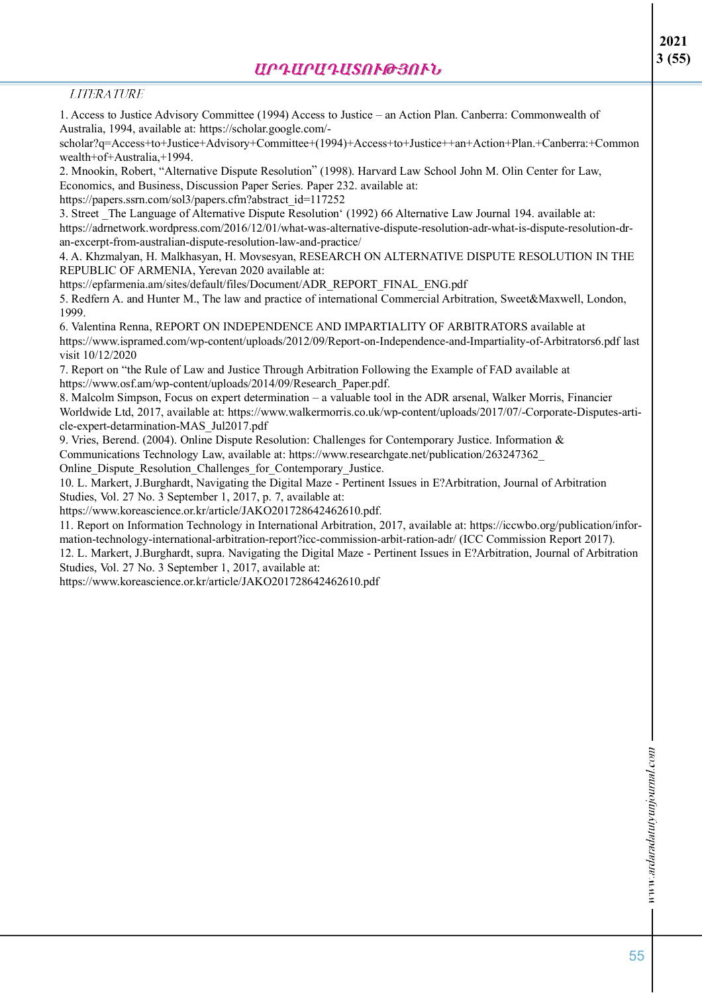### **LITERATURE**

1. Access to Justice Advisory Committee (1994) Access to Justice – an Action Plan. Canberra: Commonwealth of Australia, 1994, available at: https://scholar.google.com/-

scholar?q=Access+to+Justice+Advisory+Committee+(1994)+Access+to+Justice++an+Action+Plan.+Canberra:+Common wealth+of+Australia,+1994.

2. Mnookin, Robert, "Alternative Dispute Resolution" (1998). Harvard Law School John M. Olin Center for Law, Economics, and Business, Discussion Paper Series. Paper 232. available at:

https://papers.ssrn.com/sol3/papers.cfm?abstract\_id=117252

3. Street \_The Language of Alternative Dispute Resolution' (1992) 66 Alternative Law Journal 194. available at: https://adrnetwork.wordpress.com/2016/12/01/what-was-alternative-dispute-resolution-adr-what-is-dispute-resolution-dran-excerpt-from-australian-dispute-resolution-law-and-practice/

4. A. Khzmalyan, H. Malkhasyan, H. Movsesyan, RESEARCH ON ALTERNATIVE DISPUTE RESOLUTION IN THE REPUBLIC OF ARMENIA, Yerevan 2020 available at:

https://epfarmenia.am/sites/default/files/Document/ADR\_REPORT\_FINAL\_ENG.pdf

5. Redfern A. and Hunter M., The law and practice of international Commercial Arbitration, Sweet&Maxwell, London, 1999.

6. Valentina Renna, REPORT ON INDEPENDENCE AND IMPARTIALITY OF ARBITRATORS available at https://www.ispramed.com/wp-content/uploads/2012/09/Report-on-Independence-and-Impartiality-of-Arbitrators6.pdf last visit 10/12/2020

7. Report on "the Rule of Law and Justice Through Arbitration Following the Example of FAD available at https://www.osf.am/wp-content/uploads/2014/09/Research\_Paper.pdf.

8. Malcolm Simpson, Focus on expert determination – a valuable tool in the ADR arsenal, Walker Morris, Financier Worldwide Ltd, 2017, available at: https://www.walkermorris.co.uk/wp-content/uploads/2017/07/-Corporate-Disputes-article-expert-detarmination-MAS\_Jul2017.pdf

9. Vries, Berend. (2004). Online Dispute Resolution: Challenges for Contemporary Justice. Information & Communications Technology Law, available at: https://www.researchgate.net/publication/263247362\_

Online\_Dispute\_Resolution\_Challenges\_for\_Contemporary\_Justice.

10. L. Markert, J.Burghardt, Navigating the Digital Maze - Pertinent Issues in E?Arbitration, Journal of Arbitration Studies, Vol. 27 No. 3 September 1, 2017, p. 7, available at:

https://www.koreascience.or.kr/article/JAKO201728642462610.pdf.

11. Report on Information Technology in International Arbitration, 2017, available at: https://iccwbo.org/publication/information-technology-international-arbitration-report?icc-commission-arbit-ration-adr/ (ICC Commission Report 2017).

12. L. Markert, J.Burghardt, supra. Navigating the Digital Maze - Pertinent Issues in E?Arbitration, Journal of Arbitration Studies, Vol. 27 No. 3 September 1, 2017, available at:

https://www.koreascience.or.kr/article/JAKO201728642462610.pdf

**2021 3 (55)**